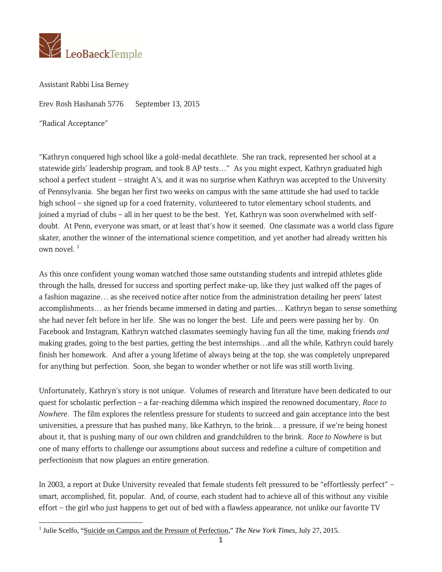

Assistant Rabbi Lisa Berney

Erev Rosh Hashanah 5776 September 13, 2015

"Radical Acceptance"

"Kathryn conquered high school like a gold-medal decathlete. She ran track, represented her school at a statewide girls' leadership program, and took 8 AP tests…" As you might expect, Kathryn graduated high school a perfect student – straight A's, and it was no surprise when Kathryn was accepted to the University of Pennsylvania. She began her first two weeks on campus with the same attitude she had used to tackle high school – she signed up for a coed fraternity, volunteered to tutor elementary school students, and joined a myriad of clubs – all in her quest to be the best. Yet, Kathryn was soon overwhelmed with selfdoubt. At Penn, everyone was smart, or at least that's how it seemed. One classmate was a world class figure skater, another the winner of the international science competition, and yet another had already written his own novel.  $<sup>1</sup>$ </sup>

As this once confident young woman watched those same outstanding students and intrepid athletes glide through the halls, dressed for success and sporting perfect make-up, like they just walked off the pages of a fashion magazine… as she received notice after notice from the administration detailing her peers' latest accomplishments… as her friends became immersed in dating and parties… Kathryn began to sense something she had never felt before in her life. She was no longer the best. Life and peers were passing her by. On Facebook and Instagram, Kathryn watched classmates seemingly having fun all the time, making friends *and*  making grades, going to the best parties, getting the best internships…and all the while, Kathryn could barely finish her homework. And after a young lifetime of always being at the top, she was completely unprepared for anything but perfection. Soon, she began to wonder whether or not life was still worth living.

Unfortunately, Kathryn's story is not unique. Volumes of research and literature have been dedicated to our quest for scholastic perfection – a far-reaching dilemma which inspired the renowned documentary, *Race to Nowhere*. The film explores the relentless pressure for students to succeed and gain acceptance into the best universities, a pressure that has pushed many, like Kathryn, to the brink… a pressure, if we're being honest about it, that is pushing many of our own children and grandchildren to the brink. *Race to Nowhere* is but one of many efforts to challenge our assumptions about success and redefine a culture of competition and perfectionism that now plagues an entire generation.

In 2003, a report at Duke University revealed that female students felt pressured to be "effortlessly perfect" – smart, accomplished, fit, popular. And, of course, each student had to achieve all of this without any visible effort – the girl who just happens to get out of bed with a flawless appearance, not unlike our favorite TV

 1 Julie Scelfo, "Suicide on Campus and the Pressure of Perfection," *The New York Times*, July 27, 2015.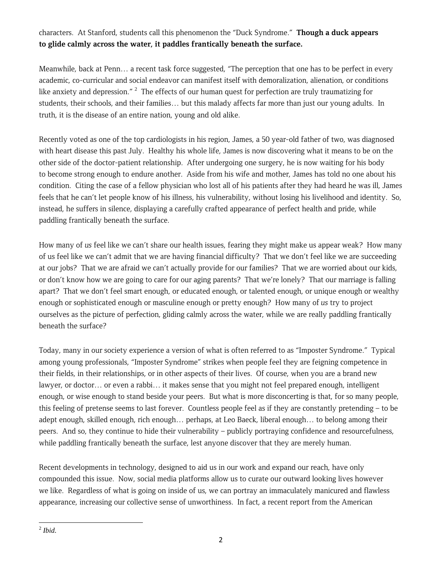## characters. At Stanford, students call this phenomenon the "Duck Syndrome." **Though a duck appears to glide calmly across the water, it paddles frantically beneath the surface.**

Meanwhile, back at Penn… a recent task force suggested, "The perception that one has to be perfect in every academic, co-curricular and social endeavor can manifest itself with demoralization, alienation, or conditions like anxiety and depression."  $^{\rm 2}$  The effects of our human quest for perfection are truly traumatizing for students, their schools, and their families… but this malady affects far more than just our young adults. In truth, it is the disease of an entire nation, young and old alike.

Recently voted as one of the top cardiologists in his region, James, a 50 year-old father of two, was diagnosed with heart disease this past July. Healthy his whole life, James is now discovering what it means to be on the other side of the doctor-patient relationship. After undergoing one surgery, he is now waiting for his body to become strong enough to endure another. Aside from his wife and mother, James has told no one about his condition. Citing the case of a fellow physician who lost all of his patients after they had heard he was ill, James feels that he can't let people know of his illness, his vulnerability, without losing his livelihood and identity. So, instead, he suffers in silence, displaying a carefully crafted appearance of perfect health and pride, while paddling frantically beneath the surface.

How many of *us* feel like we can't share our health issues, fearing they might make us appear weak? How many of us feel like we can't admit that we are having financial difficulty? That we don't feel like we are succeeding at our jobs? That we are afraid we can't actually provide for our families? That we are worried about our kids, or don't know how we are going to care for our aging parents? That we're lonely? That our marriage is falling apart? That we don't feel smart enough, or educated enough, or talented enough, or unique enough or wealthy enough or sophisticated enough or masculine enough or pretty enough? How many of *us* try to project ourselves as the picture of perfection, gliding calmly across the water, while we are really paddling frantically beneath the surface?

Today, many in our society experience a version of what is often referred to as "Imposter Syndrome." Typical among young professionals, "Imposter Syndrome" strikes when people feel they are feigning competence in their fields, in their relationships, or in other aspects of their lives. Of course, when you are a brand new lawyer, or doctor… or even a rabbi… it makes sense that you might not feel prepared enough, intelligent enough, or wise enough to stand beside your peers. But what is more disconcerting is that, for so many people, this feeling of pretense seems to last forever. Countless people feel as if they are constantly pretending – to be adept enough, skilled enough, rich enough… perhaps, at Leo Baeck, liberal enough… to belong among their peers. And so, they continue to hide their vulnerability – publicly portraying confidence and resourcefulness, while paddling frantically beneath the surface, lest anyone discover that they are merely human.

Recent developments in technology, designed to aid us in our work and expand our reach, have only compounded this issue. Now, social media platforms allow us to curate our outward looking lives however we like. Regardless of what is going on inside of us, we can portray an immaculately manicured and flawless appearance, increasing our collective sense of unworthiness. In fact, a recent report from the American

 <sup>2</sup> *Ibid.*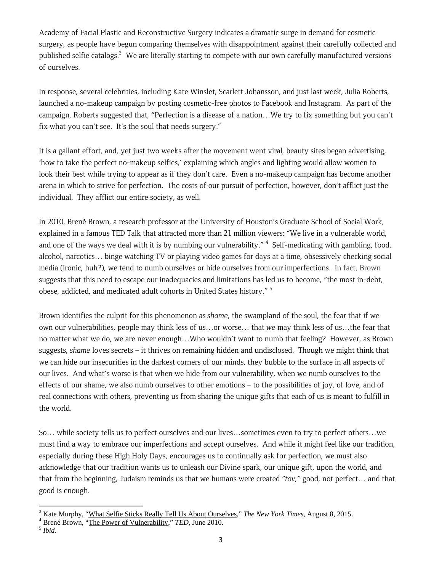Academy of Facial Plastic and Reconstructive Surgery indicates a dramatic surge in demand for cosmetic surgery, as people have begun comparing themselves with disappointment against their carefully collected and published selfie catalogs.<sup>3</sup> We are literally starting to compete with our own carefully manufactured versions of ourselves.

In response, several celebrities, including Kate Winslet, Scarlett Johansson, and just last week, Julia Roberts, launched a no-makeup campaign by posting cosmetic-free photos to Facebook and Instagram. As part of the campaign, Roberts suggested that, "Perfection is a disease of a nation…We try to fix something but you can't fix what you can't see. It's the soul that needs surgery."

It is a gallant effort, and, yet just two weeks after the movement went viral, beauty sites began advertising, 'how to take the perfect no-makeup selfies,' explaining which angles and lighting would allow women to look their best while trying to appear as if they don't care. Even a no-makeup campaign has become another arena in which to strive for perfection. The costs of our pursuit of perfection, however, don't afflict just the individual. They afflict our entire society, as well.

In 2010, Brené Brown, a research professor at the University of Houston's Graduate School of Social Work, explained in a famous TED Talk that attracted more than 21 million viewers: "We live in a vulnerable world, and one of the ways we deal with it is by numbing our vulnerability."  $4$  Self-medicating with gambling, food, alcohol, narcotics… binge watching TV or playing video games for days at a time, obsessively checking social media (ironic, huh?), we tend to numb ourselves or hide ourselves from our imperfections. In fact, Brown suggests that this need to escape our inadequacies and limitations has led us to become, "the most in-debt, obese, addicted, and medicated adult cohorts in United States history." <sup>5</sup>

Brown identifies the culprit for this phenomenon as *shame*, the swampland of the soul, the fear that if we own our vulnerabilities, people may think less of us…or worse… that *we* may think less of us…the fear that no matter what we do, we are never enough…Who wouldn't want to numb that feeling? However, as Brown suggests, *shame* loves secrets – it thrives on remaining hidden and undisclosed. Though we might think that we can hide our insecurities in the darkest corners of our minds, they bubble to the surface in all aspects of our lives. And what's worse is that when we hide from our vulnerability, when we numb ourselves to the effects of our shame, we also numb ourselves to other emotions – to the possibilities of joy, of love, and of real connections with others, preventing us from sharing the unique gifts that each of us is meant to fulfill in the world.

So… while society tells us to perfect ourselves and our lives…sometimes even to try to perfect others…we must find a way to embrace our imperfections and accept ourselves. And while it might feel like our tradition, especially during these High Holy Days, encourages us to continually ask for perfection, we must also acknowledge that our tradition wants us to unleash our Divine spark, our unique gift, upon the world, and that from the beginning, Judaism reminds us that we humans were created "*tov,"* good, not perfect… and that good is enough.

<sup>3</sup> <sup>3</sup> Kate Murphy, "<u>What Selfie Sticks Really Tell Us About Ourselves</u>," *The New York Times*, August 8, 2015.

Brené Brown, "The Power of Vulnerability," *TED*, June 2010. 5 *Ibid*.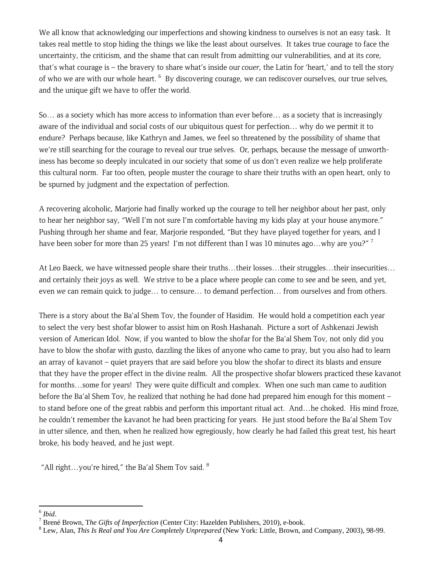We all know that acknowledging our imperfections and showing kindness to ourselves is not an easy task. It takes real mettle to stop hiding the things we like the least about ourselves. It takes true courage to face the uncertainty, the criticism, and the shame that can result from admitting our vulnerabilities, and at its core, that's what courage is – the bravery to share what's inside our *couer*, the Latin for 'heart,' and to tell the story of who we are with our whole heart. 6 By discovering courage, we can rediscover ourselves, our true selves, and the unique gift we have to offer the world.

So… as a society which has more access to information than ever before… as a society that is increasingly aware of the individual and social costs of our ubiquitous quest for perfection… why do we permit it to endure? Perhaps because, like Kathryn and James, we feel so threatened by the possibility of shame that we're still searching for the courage to reveal our true selves. Or, perhaps, because the message of unworthiness has become so deeply inculcated in our society that some of us don't even realize we help proliferate this cultural norm. Far too often, people muster the courage to share their truths with an open heart, only to be spurned by judgment and the expectation of perfection.

A recovering alcoholic, Marjorie had finally worked up the courage to tell her neighbor about her past, only to hear her neighbor say, "Well I'm not sure I'm comfortable having my kids play at your house anymore." Pushing through her shame and fear, Marjorie responded, "But they have played together for years, and I have been sober for more than 25 years! I'm not different than I was 10 minutes ago...why are you?" <sup>7</sup>

At Leo Baeck, we have witnessed people share their truths…their losses…their struggles…their insecurities… and certainly their joys as well. We strive to be a place where people can come to see and be seen, and yet, even *we* can remain quick to judge… to censure… to demand perfection… from ourselves and from others.

There is a story about the Ba'al Shem Tov, the founder of Hasidim. He would hold a competition each year to select the very best shofar blower to assist him on Rosh Hashanah. Picture a sort of Ashkenazi Jewish version of American Idol. Now, if you wanted to blow the shofar for the Ba'al Shem Tov, not only did you have to blow the shofar with gusto, dazzling the likes of anyone who came to pray, but you also had to learn an array of kavanot – quiet prayers that are said before you blow the shofar to direct its blasts and ensure that they have the proper effect in the divine realm. All the prospective shofar blowers practiced these kavanot for months…some for years! They were quite difficult and complex. When one such man came to audition before the Ba'al Shem Tov, he realized that nothing he had done had prepared him enough for this moment – to stand before one of the great rabbis and perform this important ritual act. And…he choked. His mind froze, he couldn't remember the kavanot he had been practicing for years. He just stood before the Ba'al Shem Tov in utter silence, and then, when he realized how egregiously, how clearly he had failed this great test, his heart broke, his body heaved, and he just wept.

"All right...you're hired," the Ba'al Shem Tov said.  $8$ 

 <sup>6</sup> *Ibid*. 7

Brené Brown, T*he Gifts of Imperfection* (Center City: Hazelden Publishers, 2010)*,* e-book. <sup>8</sup>

Lew, Alan, *This Is Real and You Are Completely Unprepared* (New York: Little, Brown, and Company, 2003), 98-99.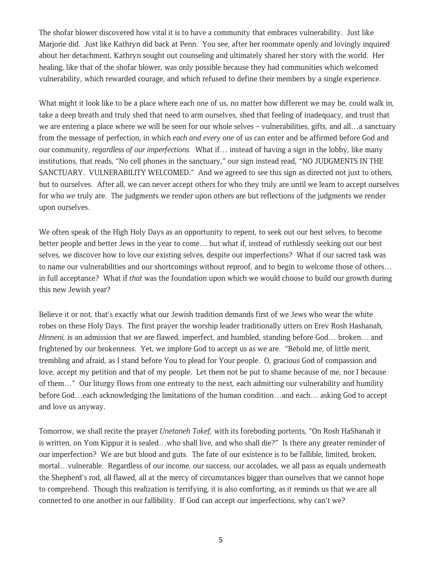The shofar blower discovered how vital it is to have a community that embraces vulnerability. Just like Marjorie did. Just like Kathryn did back at Penn. You see, after her roommate openly and lovingly inquired about her detachment, Kathryn sought out counseling and ultimately shared her story with the world. Her healing, like that of the shofar blower, was only possible because they had communities which welcomed vulnerability, which rewarded courage, and which refused to define their members by a single experience.

What might it look like to be a place where each one of us, no matter how different we may be, could walk in, take a deep breath and truly shed that need to arm ourselves, shed that feeling of inadequacy, and trust that we are entering a place where we will be seen for our whole selves – vulnerabilities, gifts, and all…a sanctuary from the message of perfection, in which *each and every one* of us can enter and be affirmed before God and our community, *regardless of our imperfections.* What if… instead of having a sign in the lobby, like many institutions, that reads, "No cell phones in the sanctuary," our sign instead read, "NO JUDGMENTS IN THE SANCTUARY. VULNERABILITY WELCOMED." And we agreed to see this sign as directed not just to others, but to ourselves. After all, we can never accept others for who they truly are until we learn to accept ourselves for who *we* truly are. The judgments we render upon others are but reflections of the judgments we render upon ourselves.

We often speak of the High Holy Days as an opportunity to repent, to seek out our best selves, to become better people and better Jews in the year to come… but what if, instead of ruthlessly seeking out our best selves, we discover how to love our existing selves, despite our imperfections? What if our sacred task was to name our vulnerabilities and our shortcomings without reproof, and to begin to welcome those of others… in full acceptance? What if *that* was the foundation upon which we would choose to build our growth during this new Jewish year?

Believe it or not, that's exactly what our Jewish tradition demands first of we Jews who wear the white robes on these Holy Days. The first prayer the worship leader traditionally utters on Erev Rosh Hashanah, *Hinneni,* is an admission that *we* are flawed, imperfect, and humbled, standing before God… broken… and frightened by our brokenness. Yet, we implore God to accept us as we are. "Behold me, of little merit, trembling and afraid, as I stand before You to plead for Your people. O, gracious God of compassion and love, accept my petition and that of my people. Let them not be put to shame because of me, nor I because of them…" Our liturgy flows from one entreaty to the next, each admitting our vulnerability and humility before God…each acknowledging the limitations of the human condition…and each… asking God to accept and love us anyway.

Tomorrow, we shall recite the prayer *Unetaneh Tokef,* with its foreboding portents, "On Rosh HaShanah it is written, on Yom Kippur it is sealed…who shall live, and who shall die?" Is there any greater reminder of our imperfection? We are but blood and guts. The fate of our existence is to be fallible, limited, broken, mortal…vulnerable. Regardless of our income, our success, our accolades, we all pass as equals underneath the Shepherd's rod, all flawed, all at the mercy of circumstances bigger than ourselves that we cannot hope to comprehend. Though this realization is terrifying, it is also comforting, as it reminds us that we are all connected to one another in our fallibility. If God can accept our imperfections, why can't we?